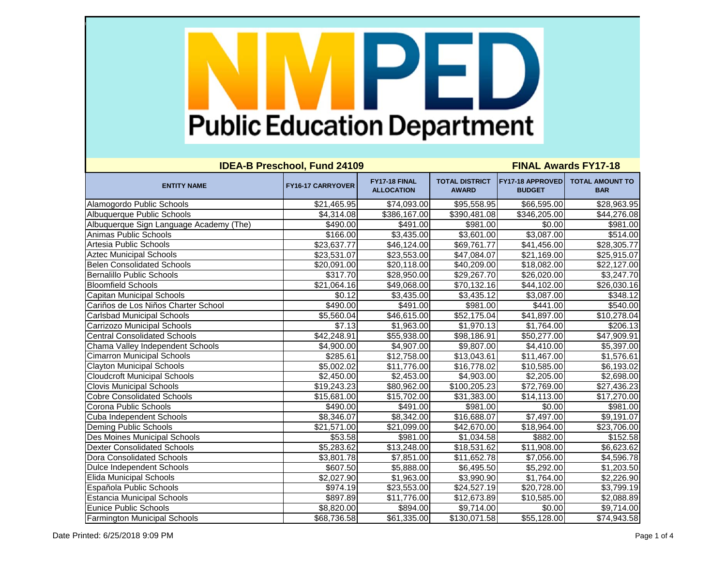| <b>IDEA-B Preschool, Fund 24109</b>     |                          |                                    | <b>FINAL Awards FY17-18</b>           |                                   |                                      |  |
|-----------------------------------------|--------------------------|------------------------------------|---------------------------------------|-----------------------------------|--------------------------------------|--|
| <b>ENTITY NAME</b>                      | <b>FY16-17 CARRYOVER</b> | FY17-18 FINAL<br><b>ALLOCATION</b> | <b>TOTAL DISTRICT</b><br><b>AWARD</b> | FY17-18 APPROVED<br><b>BUDGET</b> | <b>TOTAL AMOUNT TO</b><br><b>BAR</b> |  |
| Alamogordo Public Schools               | \$21,465.95              | \$74,093.00                        | \$95,558.95                           | \$66,595.00                       | \$28,963.95                          |  |
| Albuquerque Public Schools              | \$4,314.08               | \$386,167.00                       | \$390,481.08                          | \$346,205.00                      | \$44,276.08                          |  |
| Albuquerque Sign Language Academy (The) | \$490.00                 | \$491.00                           | \$981.00                              | \$0.00                            | \$981.00                             |  |
| <b>Animas Public Schools</b>            | \$166.00                 | \$3,435.00                         | \$3,601.00                            | \$3,087.00                        | \$514.00                             |  |
| Artesia Public Schools                  | \$23,637.77              | \$46,124.00                        | \$69,761.77                           | \$41,456.00                       | \$28,305.77                          |  |
| <b>Aztec Municipal Schools</b>          | \$23,531.07              | \$23,553.00                        | \$47,084.07                           | \$21,169.00                       | \$25,915.07                          |  |
| <b>Belen Consolidated Schools</b>       | \$20,091.00              | \$20,118.00                        | \$40,209.00                           | \$18,082.00                       | \$22,127.00                          |  |
| <b>Bernalillo Public Schools</b>        | \$317.70                 | \$28,950.00                        | \$29,267.70                           | \$26,020.00                       | \$3,247.70                           |  |
| <b>Bloomfield Schools</b>               | \$21,064.16              | \$49,068.00                        | \$70,132.16                           | \$44,102.00                       | \$26,030.16                          |  |
| <b>Capitan Municipal Schools</b>        | \$0.12                   | \$3,435.00                         | \$3,435.12                            | \$3,087.00                        | \$348.12                             |  |
| Cariños de Los Niños Charter School     | \$490.00                 | \$491.00                           | \$981.00                              | \$441.00                          | \$540.00                             |  |
| <b>Carlsbad Municipal Schools</b>       | \$5,560.04               | \$46,615.00                        | \$52,175.04                           | \$41,897.00                       | \$10,278.04                          |  |
| Carrizozo Municipal Schools             | \$7.13                   | \$1,963.00                         | \$1,970.13                            | \$1,764.00                        | \$206.13                             |  |
| <b>Central Consolidated Schools</b>     | \$42,248.91              | \$55,938.00                        | \$98,186.91                           | \$50,277.00                       | \$47,909.91                          |  |
| Chama Valley Independent Schools        | \$4,900.00               | \$4,907.00                         | \$9,807.00                            | \$4,410.00                        | \$5,397.00                           |  |
| <b>Cimarron Municipal Schools</b>       | \$285.61                 | \$12,758.00                        | \$13,043.61                           | \$11,467.00                       | \$1,576.61                           |  |
| <b>Clayton Municipal Schools</b>        | \$5,002.02               | \$11,776.00                        | \$16,778.02                           | \$10,585.00                       | \$6,193.02                           |  |
| <b>Cloudcroft Municipal Schools</b>     | \$2,450.00               | \$2,453.00                         | \$4,903.00                            | \$2,205.00                        | \$2,698.00                           |  |
| <b>Clovis Municipal Schools</b>         | \$19,243.23              | \$80,962.00                        | \$100,205.23                          | \$72,769.00                       | \$27,436.23                          |  |
| <b>Cobre Consolidated Schools</b>       | \$15,681.00              | $\overline{$15,702.00}$            | \$31,383.00                           | \$14,113.00                       | \$17,270.00                          |  |
| Corona Public Schools                   | \$490.00                 | \$491.00                           | \$981.00                              | \$0.00                            | \$981.00                             |  |
| Cuba Independent Schools                | \$8,346.07               | \$8,342.00                         | \$16,688.07                           | \$7,497.00                        | \$9,191.07                           |  |
| Deming Public Schools                   | \$21,571.00              | \$21,099.00                        | \$42,670.00                           | \$18,964.00                       | \$23,706.00                          |  |
| Des Moines Municipal Schools            | \$53.58                  | \$981.00                           | \$1,034.58                            | \$882.00                          | \$152.58                             |  |
| <b>Dexter Consolidated Schools</b>      | \$5,283.62               | \$13,248.00                        | \$18,531.62                           | \$11,908.00                       | \$6,623.62                           |  |
| <b>Dora Consolidated Schools</b>        | \$3,801.78               | \$7,851.00                         | \$11,652.78                           | \$7,056.00                        | \$4,596.78                           |  |
| Dulce Independent Schools               | \$607.50                 | \$5,888.00                         | \$6,495.50                            | \$5,292.00                        | \$1,203.50                           |  |
| <b>Elida Municipal Schools</b>          | \$2,027.90               | \$1,963.00                         | \$3,990.90                            | \$1,764.00                        | \$2,226.90                           |  |
| Española Public Schools                 | \$974.19                 | $\overline{$}23,553.00$            | \$24,527.19                           | \$20,728.00                       | \$3,799.19                           |  |
| <b>Estancia Municipal Schools</b>       | \$897.89                 | \$11,776.00                        | \$12,673.89                           | \$10,585.00                       | \$2,088.89                           |  |
| <b>Eunice Public Schools</b>            | \$8,820.00               | \$894.00                           | \$9,714.00                            | \$0.00                            | \$9,714.00                           |  |
| <b>Farmington Municipal Schools</b>     | \$68,736.58              | \$61,335.00                        | \$130,071.58                          | \$55,128.00                       | \$74,943.58                          |  |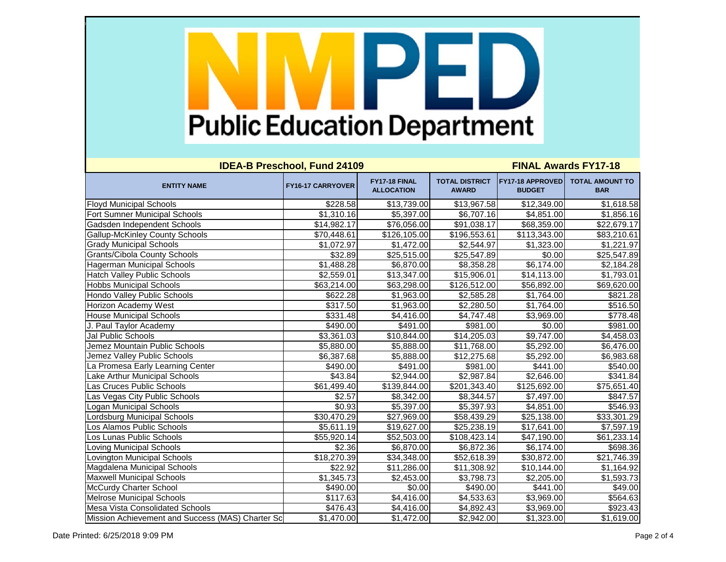| <b>IDEA-B Preschool, Fund 24109</b>              |                          |                                    | <b>FINAL Awards FY17-18</b>           |                                   |                                      |  |
|--------------------------------------------------|--------------------------|------------------------------------|---------------------------------------|-----------------------------------|--------------------------------------|--|
| <b>ENTITY NAME</b>                               | <b>FY16-17 CARRYOVER</b> | FY17-18 FINAL<br><b>ALLOCATION</b> | <b>TOTAL DISTRICT</b><br><b>AWARD</b> | FY17-18 APPROVED<br><b>BUDGET</b> | <b>TOTAL AMOUNT TO</b><br><b>BAR</b> |  |
| <b>Floyd Municipal Schools</b>                   | \$228.58                 | \$13,739.00                        | \$13,967.58                           | \$12,349.00                       | \$1,618.58                           |  |
| <b>Fort Sumner Municipal Schools</b>             | \$1,310.16               | \$5,397.00                         | \$6,707.16                            | \$4,851.00                        | \$1,856.16                           |  |
| Gadsden Independent Schools                      | \$14,982.17              | \$76,056.00                        | \$91,038.17                           | \$68,359.00                       | \$22,679.17                          |  |
| <b>Gallup-McKinley County Schools</b>            | \$70,448.61              | \$126,105.00                       | \$196,553.61                          | $\overline{$113,343.00}$          | \$83,210.61                          |  |
| <b>Grady Municipal Schools</b>                   | \$1,072.97               | \$1,472.00                         | \$2,544.97                            | \$1,323.00                        | \$1,221.97                           |  |
| <b>Grants/Cibola County Schools</b>              | \$32.89                  | \$25,515.00                        | \$25,547.89                           | \$0.00                            | \$25,547.89                          |  |
| Hagerman Municipal Schools                       | \$1,488.28               | \$6,870.00                         | \$8,358.28                            | \$6,174.00                        | \$2,184.28                           |  |
| <b>Hatch Valley Public Schools</b>               | \$2,559.01               | \$13,347.00                        | \$15,906.01                           | \$14,113.00                       | \$1,793.01                           |  |
| <b>Hobbs Municipal Schools</b>                   | \$63,214.00              | \$63,298.00                        | \$126,512.00                          | \$56,892.00                       | \$69,620.00                          |  |
| Hondo Valley Public Schools                      | \$622.28                 | \$1,963.00                         | \$2,585.28                            | \$1,764.00                        | \$821.28                             |  |
| Horizon Academy West                             | \$317.50                 | \$1,963.00                         | \$2,280.50                            | \$1,764.00                        | \$516.50                             |  |
| <b>House Municipal Schools</b>                   | \$331.48                 | \$4,416.00                         | \$4,747.48                            | \$3,969.00                        | \$778.48                             |  |
| J. Paul Taylor Academy                           | \$490.00                 | \$491.00                           | \$981.00                              | \$0.00                            | \$981.00                             |  |
| Jal Public Schools                               | \$3,361.03               | \$10,844.00                        | \$14,205.03                           | \$9,747.00                        | \$4,458.03                           |  |
| Jemez Mountain Public Schools                    | \$5,880.00               | \$5,888.00                         | \$11,768.00                           | \$5,292.00                        | \$6,476.00                           |  |
| Jemez Valley Public Schools                      | \$6,387.68               | \$5,888.00                         | \$12,275.68                           | \$5,292.00                        | \$6,983.68                           |  |
| La Promesa Early Learning Center                 | \$490.00                 | \$491.00                           | \$981.00                              | \$441.00                          | \$540.00                             |  |
| Lake Arthur Municipal Schools                    | \$43.84                  | \$2,944.00                         | \$2,987.84                            | \$2,646.00                        | \$341.84                             |  |
| Las Cruces Public Schools                        | \$61,499.40              | \$139,844.00                       | \$201,343.40                          | \$125,692.00                      | \$75,651.40                          |  |
| Las Vegas City Public Schools                    | \$2.57                   | \$8,342.00                         | \$8,344.57                            | \$7,497.00                        | \$847.57                             |  |
| Logan Municipal Schools                          | \$0.93                   | \$5,397.00                         | \$5,397.93                            | \$4,851.00                        | \$546.93                             |  |
| Lordsburg Municipal Schools                      | \$30,470.29              | \$27,969.00                        | \$58,439.29                           | \$25,138.00                       | \$33,301.29                          |  |
| Los Alamos Public Schools                        | \$5,611.19               | \$19,627.00                        | \$25,238.19                           | \$17,641.00                       | \$7,597.19                           |  |
| Los Lunas Public Schools                         | \$55,920.14              | \$52,503.00                        | \$108,423.14                          | \$47,190.00                       | \$61,233.14                          |  |
| Loving Municipal Schools                         | \$2.36                   | \$6,870.00                         | \$6,872.36                            | \$6,174.00                        | \$698.36                             |  |
| Lovington Municipal Schools                      | \$18,270.39              | \$34,348.00                        | \$52,618.39                           | \$30,872.00                       | \$21,746.39                          |  |
| Magdalena Municipal Schools                      | \$22.92                  | \$11,286.00                        | \$11,308.92                           | \$10,144.00                       | \$1,164.92                           |  |
| <b>Maxwell Municipal Schools</b>                 | \$1,345.73               | \$2,453.00                         | \$3,798.73                            | \$2,205.00                        | \$1,593.73                           |  |
| McCurdy Charter School                           | \$490.00                 | \$0.00                             | \$490.00                              | \$441.00                          | \$49.00                              |  |
| <b>Melrose Municipal Schools</b>                 | \$117.63                 | \$4,416.00                         | \$4,533.63                            | \$3,969.00                        | \$564.63                             |  |
| Mesa Vista Consolidated Schools                  | \$476.43                 | \$4,416.00                         | \$4,892.43                            | \$3,969.00                        | \$923.43                             |  |
| Mission Achievement and Success (MAS) Charter Sc | \$1,470.00               | \$1,472.00                         | \$2,942.00                            | \$1,323.00                        | \$1,619.00                           |  |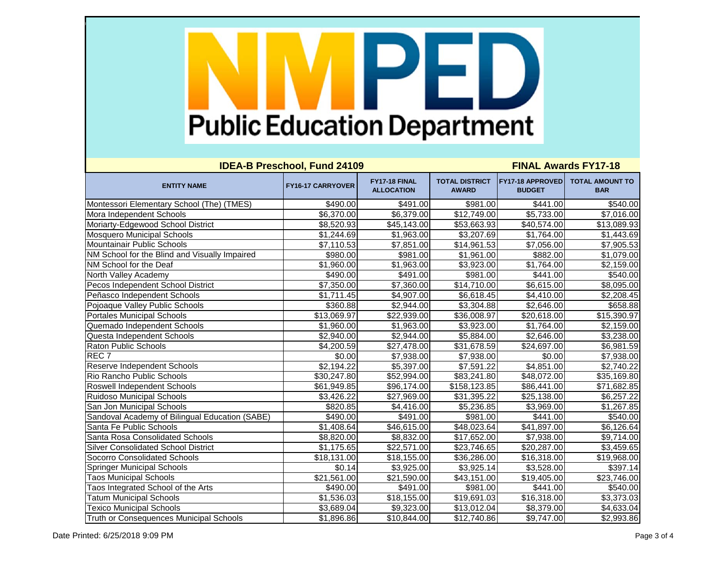| <b>IDEA-B Preschool, Fund 24109</b>            |                          |                                    | <b>FINAL Awards FY17-18</b>           |                                          |                                      |  |
|------------------------------------------------|--------------------------|------------------------------------|---------------------------------------|------------------------------------------|--------------------------------------|--|
| <b>ENTITY NAME</b>                             | <b>FY16-17 CARRYOVER</b> | FY17-18 FINAL<br><b>ALLOCATION</b> | <b>TOTAL DISTRICT</b><br><b>AWARD</b> | <b>FY17-18 APPROVED</b><br><b>BUDGET</b> | <b>TOTAL AMOUNT TO</b><br><b>BAR</b> |  |
| Montessori Elementary School (The) (TMES)      | \$490.00                 | \$491.00                           | \$981.00                              | \$441.00                                 | \$540.00                             |  |
| Mora Independent Schools                       | \$6,370.00               | \$6,379.00                         | \$12,749.00                           | \$5,733.00                               | \$7,016.00                           |  |
| Moriarty-Edgewood School District              | \$8,520.93               | \$45,143.00                        | \$53,663.93                           | \$40,574.00                              | \$13,089.93                          |  |
| <b>Mosquero Municipal Schools</b>              | \$1,244.69               | \$1,963.00                         | \$3,207.69                            | \$1,764.00                               | \$1,443.69                           |  |
| Mountainair Public Schools                     | \$7,110.53               | \$7,851.00                         | \$14,961.53                           | \$7,056.00                               | \$7,905.53                           |  |
| NM School for the Blind and Visually Impaired  | \$980.00                 | \$981.00                           | \$1,961.00                            | \$882.00                                 | \$1,079.00                           |  |
| NM School for the Deaf                         | \$1,960.00               | \$1,963.00                         | \$3,923.00                            | \$1,764.00                               | \$2,159.00                           |  |
| North Valley Academy                           | \$490.00                 | \$491.00                           | \$981.00                              | \$441.00                                 | \$540.00                             |  |
| Pecos Independent School District              | \$7,350.00               | \$7,360.00                         | \$14,710.00                           | \$6,615.00                               | \$8,095.00                           |  |
| Peñasco Independent Schools                    | \$1,711.45               | \$4,907.00                         | \$6,618.45                            | \$4,410.00                               | \$2,208.45                           |  |
| Pojoaque Valley Public Schools                 | \$360.88                 | \$2,944.00                         | \$3,304.88                            | \$2,646.00                               | \$658.88                             |  |
| <b>Portales Municipal Schools</b>              | \$13,069.97              | \$22,939.00                        | \$36,008.97                           | \$20,618.00                              | \$15,390.97                          |  |
| Quemado Independent Schools                    | \$1,960.00               | \$1,963.00                         | \$3,923.00                            | \$1,764.00                               | \$2,159.00                           |  |
| Questa Independent Schools                     | \$2,940.00               | \$2,944.00                         | \$5,884.00                            | \$2,646.00                               | \$3,238.00                           |  |
| <b>Raton Public Schools</b>                    | \$4,200.59               | \$27,478.00                        | \$31,678.59                           | \$24,697.00                              | \$6,981.59                           |  |
| REC <sub>7</sub>                               | \$0.00                   | \$7,938.00                         | \$7,938.00                            | \$0.00                                   | \$7,938.00                           |  |
| <b>Reserve Independent Schools</b>             | \$2,194.22               | \$5,397.00                         | \$7,591.22                            | \$4,851.00                               | \$2,740.22                           |  |
| Rio Rancho Public Schools                      | \$30,247.80              | \$52,994.00                        | \$83,241.80                           | \$48,072.00                              | \$35,169.80                          |  |
| Roswell Independent Schools                    | \$61,949.85              | \$96,174.00                        | \$158,123.85                          | \$86,441.00                              | \$71,682.85                          |  |
| Ruidoso Municipal Schools                      | \$3,426.22               | \$27,969.00                        | \$31,395.22                           | \$25,138.00                              | \$6,257.22                           |  |
| San Jon Municipal Schools                      | \$820.85                 | \$4,416.00                         | \$5,236.85                            | \$3,969.00                               | \$1,267.85                           |  |
| Sandoval Academy of Bilingual Education (SABE) | \$490.00                 | \$491.00                           | \$981.00                              | \$441.00                                 | \$540.00                             |  |
| Santa Fe Public Schools                        | \$1,408.64               | \$46,615.00                        | \$48,023.64                           | \$41,897.00                              | \$6,126.64                           |  |
| Santa Rosa Consolidated Schools                | \$8,820.00               | \$8,832.00                         | \$17,652.00                           | \$7,938.00                               | \$9,714.00                           |  |
| <b>Silver Consolidated School District</b>     | \$1,175.65               | \$22,571.00                        | \$23,746.65                           | \$20,287.00                              | \$3,459.65                           |  |
| <b>Socorro Consolidated Schools</b>            | \$18,131.00              | \$18,155.00                        | \$36,286.00                           | \$16,318.00                              | \$19,968.00                          |  |
| <b>Springer Municipal Schools</b>              | \$0.14                   | \$3,925.00                         | \$3,925.14                            | \$3,528.00                               | \$397.14]                            |  |
| <b>Taos Municipal Schools</b>                  | \$21,561.00              | \$21,590.00                        | \$43,151.00                           | \$19,405.00                              | \$23,746.00                          |  |
| Taos Integrated School of the Arts             | \$490.00                 | \$491.00                           | \$981.00                              | \$441.00                                 | \$540.00                             |  |
| <b>Tatum Municipal Schools</b>                 | \$1,536.03               | \$18,155.00                        | \$19,691.03                           | \$16,318.00                              | \$3,373.03                           |  |
| <b>Texico Municipal Schools</b>                | \$3,689.04               | \$9,323.00                         | \$13,012.04                           | \$8,379.00                               | \$4,633.04                           |  |
| Truth or Consequences Municipal Schools        | \$1,896.86               | \$10,844.00                        | \$12,740.86                           | \$9,747.00                               | \$2,993.86                           |  |